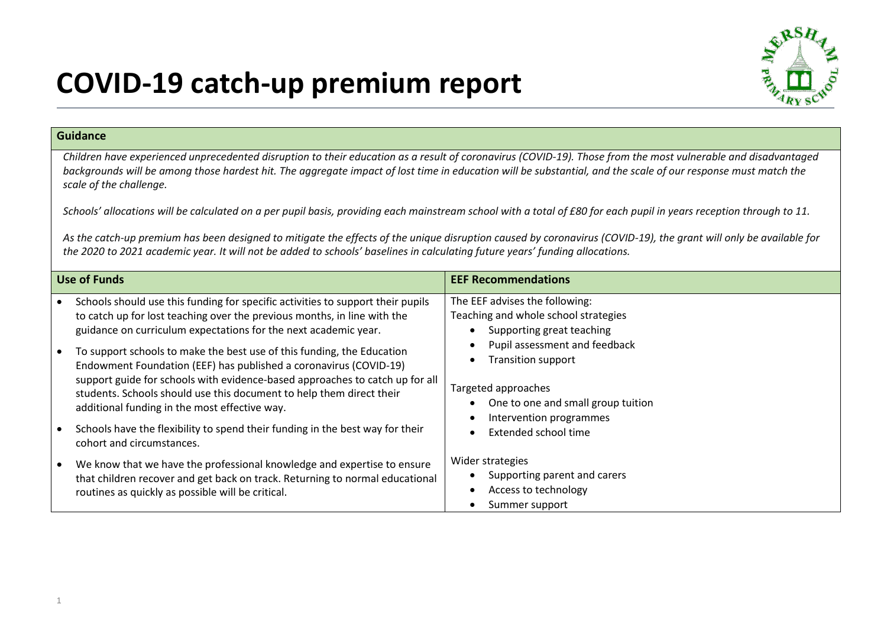



#### **Guidance**

*Children have experienced unprecedented disruption to their education as a result of coronavirus (COVID-19). Those from the most vulnerable and disadvantaged backgrounds will be among those hardest hit. The aggregate impact of lost time in education will be substantial, and the scale of our response must match the scale of the challenge.*

Schools' allocations will be calculated on a per pupil basis, providing each mainstream school with a total of £80 for each pupil in years reception through to 11.

*As the catch-up premium has been designed to mitigate the effects of the unique disruption caused by coronavirus (COVID-19), the grant will only be available for the 2020 to 2021 academic year. It will not be added to schools' baselines in calculating future years' funding allocations.*

|           | <b>Use of Funds</b>                                                                                                                                                                                                                                                                                                                                  | <b>EEF Recommendations</b>                                                                                                           |
|-----------|------------------------------------------------------------------------------------------------------------------------------------------------------------------------------------------------------------------------------------------------------------------------------------------------------------------------------------------------------|--------------------------------------------------------------------------------------------------------------------------------------|
| $\bullet$ | Schools should use this funding for specific activities to support their pupils<br>to catch up for lost teaching over the previous months, in line with the<br>guidance on curriculum expectations for the next academic year.                                                                                                                       | The EEF advises the following:<br>Teaching and whole school strategies<br>Supporting great teaching<br>Pupil assessment and feedback |
| $\bullet$ | To support schools to make the best use of this funding, the Education<br>Endowment Foundation (EEF) has published a coronavirus (COVID-19)<br>support guide for schools with evidence-based approaches to catch up for all<br>students. Schools should use this document to help them direct their<br>additional funding in the most effective way. | <b>Transition support</b><br>Targeted approaches<br>One to one and small group tuition<br>Intervention programmes                    |
| $\bullet$ | Schools have the flexibility to spend their funding in the best way for their<br>cohort and circumstances.                                                                                                                                                                                                                                           | Extended school time                                                                                                                 |
| $\bullet$ | We know that we have the professional knowledge and expertise to ensure<br>that children recover and get back on track. Returning to normal educational<br>routines as quickly as possible will be critical.                                                                                                                                         | Wider strategies<br>Supporting parent and carers<br>Access to technology<br>Summer support                                           |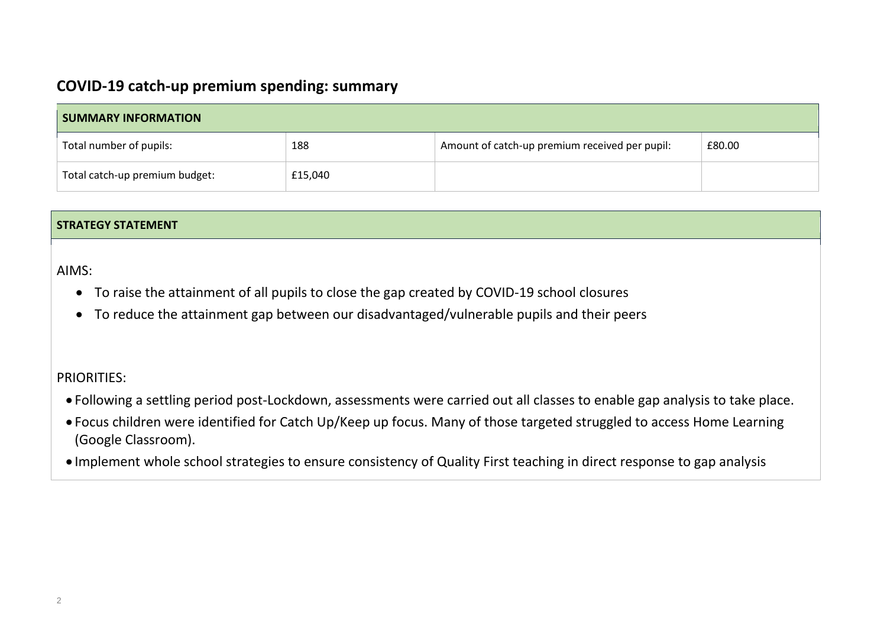# **COVID-19 catch-up premium spending: summary**

| <b>SUMMARY INFORMATION</b>     |         |                                                |        |  |  |  |  |
|--------------------------------|---------|------------------------------------------------|--------|--|--|--|--|
| Total number of pupils:        | 188     | Amount of catch-up premium received per pupil: | £80.00 |  |  |  |  |
| Total catch-up premium budget: | £15,040 |                                                |        |  |  |  |  |

#### **STRATEGY STATEMENT**

#### AIMS:

- To raise the attainment of all pupils to close the gap created by COVID-19 school closures
- To reduce the attainment gap between our disadvantaged/vulnerable pupils and their peers

#### PRIORITIES:

- Following a settling period post-Lockdown, assessments were carried out all classes to enable gap analysis to take place.
- Focus children were identified for Catch Up/Keep up focus. Many of those targeted struggled to access Home Learning (Google Classroom).
- Implement whole school strategies to ensure consistency of Quality First teaching in direct response to gap analysis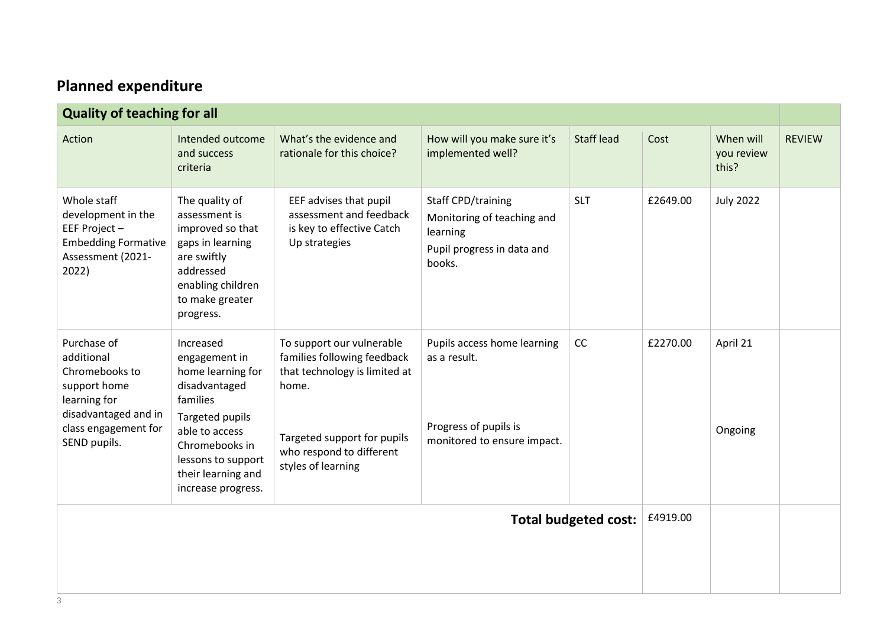# **Planned expenditure**

| <b>Quality of teaching for all</b>                                                                                                                       |                                                                                                    |                                                                                                      |                   |          |                                  |               |
|----------------------------------------------------------------------------------------------------------------------------------------------------------|----------------------------------------------------------------------------------------------------|------------------------------------------------------------------------------------------------------|-------------------|----------|----------------------------------|---------------|
| Intended outcome<br>and success                                                                                                                          | What's the evidence and<br>rationale for this choice?                                              | How will you make sure it's<br>implemented well?                                                     | <b>Staff lead</b> | Cost     | When will<br>you review<br>this? | <b>REVIEW</b> |
| The quality of<br>assessment is<br>improved so that<br>gaps in learning<br>are swiftly<br>addressed<br>enabling children<br>to make greater<br>progress. | EEF advises that pupil<br>assessment and feedback<br>is key to effective Catch<br>Up strategies    | Staff CPD/training<br>Monitoring of teaching and<br>learning<br>Pupil progress in data and<br>books. | <b>SLT</b>        | £2649.00 | <b>July 2022</b>                 |               |
| Increased<br>engagement in<br>home learning for<br>disadvantaged<br>families                                                                             | To support our vulnerable<br>families following feedback<br>that technology is limited at<br>home. | Pupils access home learning<br>as a result.                                                          | cc                | £2270.00 | April 21                         |               |
| Targeted pupils<br>able to access<br>Chromebooks in<br>lessons to support<br>their learning and<br>increase progress.                                    | Targeted support for pupils<br>who respond to different<br>styles of learning                      | Progress of pupils is<br>monitored to ensure impact.                                                 |                   |          | Ongoing                          |               |
|                                                                                                                                                          |                                                                                                    |                                                                                                      |                   | £4919.00 |                                  |               |
|                                                                                                                                                          |                                                                                                    |                                                                                                      |                   |          |                                  |               |
|                                                                                                                                                          |                                                                                                    |                                                                                                      |                   |          | <b>Total budgeted cost:</b>      |               |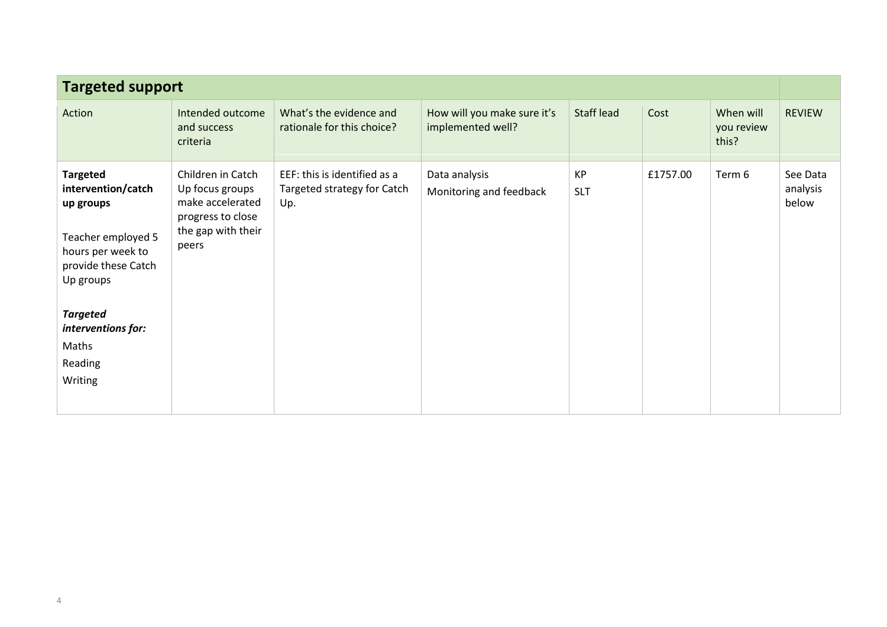| <b>Targeted support</b>                                                                                                                                                                                   |                                                                                                              |                                                                    |                                                  |                   |          |                                  |                               |
|-----------------------------------------------------------------------------------------------------------------------------------------------------------------------------------------------------------|--------------------------------------------------------------------------------------------------------------|--------------------------------------------------------------------|--------------------------------------------------|-------------------|----------|----------------------------------|-------------------------------|
| Action                                                                                                                                                                                                    | Intended outcome<br>and success<br>criteria                                                                  | What's the evidence and<br>rationale for this choice?              | How will you make sure it's<br>implemented well? | <b>Staff lead</b> | Cost     | When will<br>you review<br>this? | <b>REVIEW</b>                 |
| <b>Targeted</b><br>intervention/catch<br>up groups<br>Teacher employed 5<br>hours per week to<br>provide these Catch<br>Up groups<br><b>Targeted</b><br>interventions for:<br>Maths<br>Reading<br>Writing | Children in Catch<br>Up focus groups<br>make accelerated<br>progress to close<br>the gap with their<br>peers | EEF: this is identified as a<br>Targeted strategy for Catch<br>Up. | Data analysis<br>Monitoring and feedback         | KP<br><b>SLT</b>  | £1757.00 | Term 6                           | See Data<br>analysis<br>below |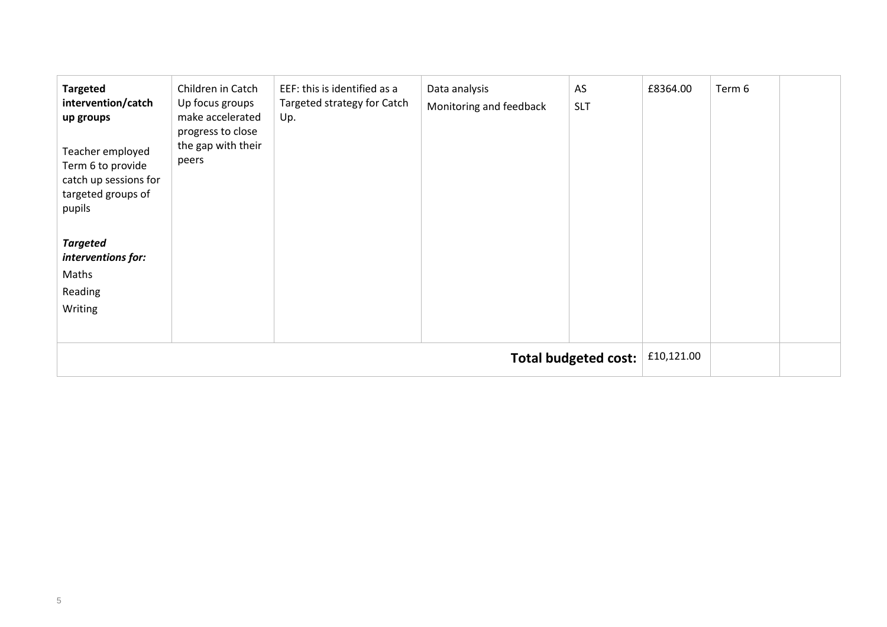| <b>Targeted</b><br>intervention/catch<br>up groups<br>Teacher employed<br>Term 6 to provide<br>catch up sessions for<br>targeted groups of<br>pupils<br><b>Targeted</b><br>interventions for:<br>Maths<br>Reading<br>Writing | Children in Catch<br>Up focus groups<br>make accelerated<br>progress to close<br>the gap with their<br>peers | EEF: this is identified as a<br>Targeted strategy for Catch<br>Up. | Data analysis<br>Monitoring and feedback | AS<br><b>SLT</b>            | £8364.00   | Term 6 |  |
|------------------------------------------------------------------------------------------------------------------------------------------------------------------------------------------------------------------------------|--------------------------------------------------------------------------------------------------------------|--------------------------------------------------------------------|------------------------------------------|-----------------------------|------------|--------|--|
|                                                                                                                                                                                                                              |                                                                                                              |                                                                    |                                          | <b>Total budgeted cost:</b> | £10,121.00 |        |  |
|                                                                                                                                                                                                                              |                                                                                                              |                                                                    |                                          |                             |            |        |  |